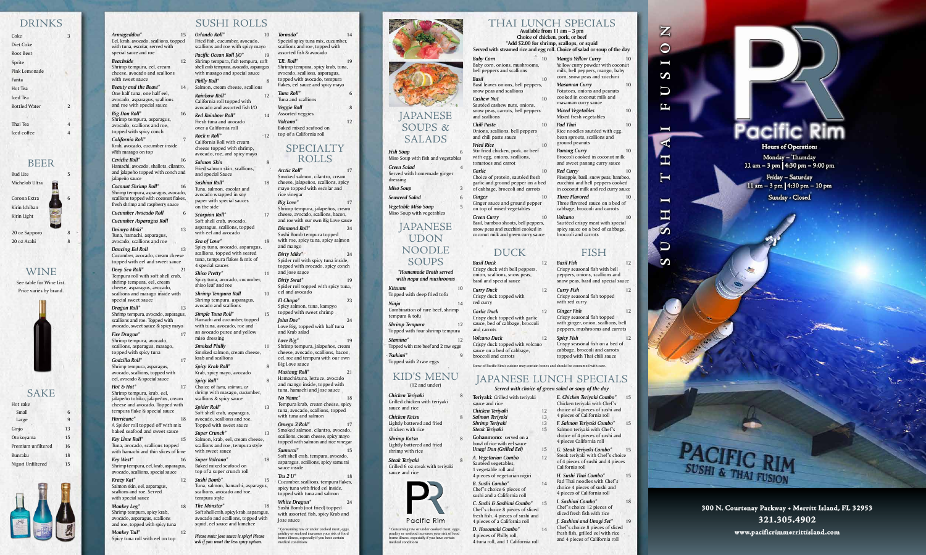Basil leaves onions, bell peppers, snow peas and scallions

*Cashew Nut* 10 Sautéed cashew nuts, onions, snow peas, carrots, bell peppers and scallions

*Fried Rice* 10 Stir fried chicken, pork, or beef with egg, onions, scallions, tomatoes and carrot

Garlic 10 Choice of protein, sautéed fresh garlic and ground pepper on a bed of cabbage, broccoli and carrots

*Chili Paste* 10 Onions, scallions, bell peppers and chili paste sauce

**Ginger** 10 Ginger sauce and ground pepper on top of mixed vegetables

**Green Curry** 10 Basil, bamboo shoots, bell peppers, snow peas and zucchini cooked in coconut milk and green curry sauce

 $Armageddon*$ Eel, krab, avocado, scallions, topped with tuna, escolar, served with special sauce and roe

**Beauty and the Beast\*** One half tuna, one half eel, avocado, asparagus, scallions and roe with special sauce

*Big Don Roll\** 16 Shrimp tempura, asparagus, avocado, scallions and roe, topped with spicy conch

*Dancing Eel Roll* 13 Cucumber, avocado, cream cheese topped with eel and sweet sauce

> *C. Sushi & Sashimi Combo\** 15 Chef 's choice 8 pieces of sliced fresh fish, 4 pieces of sushi and 4 pieces of a California roll

**Deep Sea Roll\*** Tempura roll with soft shell crab, shrimp tempura, eel, cream cheese, asparagus, avocado, scallions and masago inside with special sweet sauce

**Dragon Roll\*** 13 Shrimp tempura, avocado, asparagus, scallions and roe. Topped with avocado, sweet sauce & spicy mayo

> *D. Hosomaki Combo\** 14 4 pieces of Philly roll, 4 tuna roll, and 1 California roll

*Beachside* 12 Shrimp tempura, eel, cream cheese, avocado and scallions with sweet sauce

*Monkey Leg\** Shrimp tempura, spicy krab, avocado, asparagus, scallions and roe, topped with spicy tuna *Monkey Tail\** 12

*California Roll\** 7 Krab, avocado, cucumber inside with masago on top

> *Chicken Katsu* Lightly battered and fried chicken with rice

**Shrimp Katsu** Lightly battered and fried shrimp with rice

**Steak Teriyaki** Grilled 6 oz steak with teriyaki sauce and rice



*Ceviche Roll\** 16 Hamachi, avocado, shallots, cilantro, and jalapeño topped with conch and

jalapeño sauce **Coconut Shrimp Roll\*** Shrimp tempura, asparagus, avocado, scallions topped with coconut flakes, fresh shrimp and raspberry sauce

**Cucumber Avocado Roll** 

15 Orlando Roll<sup>\*</sup> 10 Fried fish, cucumber, avocado, scallions and roe with spicy mayo *Pacific Ocean Roll I/O\** Shrimp tempura, fish tempura, soft shell crab tempura, avocado, asparagus with masago and special sauce **Philly Roll\*** 14 Salmon, cream cheese, scallions *Rainbow Roll\** 12 California roll topped with avocado and assorted fish I/O *Red Rainbow Roll\** 14

Fresh tuna and avocado over a California roll *Rock n Roll\** 12

*Cucumber Asparagus Roll*

*Daimyo Maki\** 13 Tuna, hamachi, asparagus, avocado, scallions and roe

**Sea of Love\*** 18 Spicy tuna, avocado, asparagus, scallions, topped with seared tuna, tempura flakes & mix of 4 special sauces

**Shrimp Tempura Roll** 10 Shrimp tempura, asparagus, avocado and scallions

**Smoked Philly** 11 Smoked salmon, cream cheese, krab and scallions

**Spicy Krab Roll\*** Krab, spicy mayo, avocado

**Spicy Roll\*** Choice of *tuna, salmon, or shrimp* with masago, cucumber, scallions & spicy sauce

*Fire Dragon\** 17 Shrimp tempura, avocado, scallions, asparagus, masago, topped with spicy tuna

> **Spider Roll\*** 13 Soft shell crab, asparagus, avocado, scallions and roe. Topped with sweet sauce

**Super Volcano\*** Baked mixed seafood on top of a super crunch roll

*Godzilla Roll\** 17 Shrimp tempura, asparagus, avocado, scallions, topped with eel, avocado & special sauce

> 18 The Monster<sup>\*</sup> 18 Soft shell crab, spicy krab, asparagus, avocado and scallions, topped with squid, eel sauce and kimchee

*Hot & Hot\** 17 Shrimp tempura, krab, eel, jalapeño tobiko, jalapeños, cream cheese and avocado. Topped with tempura flake & special sauce

> Consuming raw or under cooked meat, eggs, poultry or seafood increases your risk of food borne illness, especially if you have certain medical conditions





*Hurricane\** 18 A Spider roll topped off with mix baked seafood and sweet sauce

*Key Lime Roll\** 15 Tuna, avocado, scallions topped with hamachi and thin slices of lime

*Key West\** 16 Shrimp tempura, eel, krab, asparagus, avocado, scallions, special sauce

*Krazy Kat\** 12 Salmon skin, eel, asparagus, scallions and roe. Served with special sauce

Spicy tuna roll with eel on top

#### KID'S MENU (12 and under)

*Chicken Teriyaki* 8 Grilled chicken with teriyaki sauce and rice

### SUSHI ROLLS

**\*Add \$2.00 for shrimp, scallops, or squid Served with steamed rice and egg roll. C** 

**Baby Corn** 10 Baby corn, onions, mushrooms, bell peppers and scallions *Basil* 10

California Roll with cream cheese topped with shrimp, avocado, roe, and spicy mayo **Salmon Skin** 8 Fried salmon skin, scallions, and special Sauce

*Red Curry* Pineapple, basil, snow peas, bamboo, zucchini and bell peppers cooked in coconut milk and red curry sauce **Three Flavored** Three flavored sauce on a bed of cabbage, broccoli and carrots

*Sashimi Roll\** 18 Tuna, salmon, escolar and avocado wrapped in soy paper with special sauces on the side

> *Curry Duck* Crispy duck topped with red curry

*Scorpion Roll\** 17 Soft shell crab, avocado, asparagus, scallions, topped with eel and avocado

*Shiso Pretty\** 11 Spicy tuna, avocado, cucumber, shiso leaf and roe

> *J. Sashimi and Unagi Set\** 19 Chef 's choice 8 pieces of sliced fresh fish, grilled eel with rice and 4 pieces of California roll

*Simple Tuna Roll\** 15 Hamachi and cucumber, topped with tuna, avocado, roe and an avocado puree and yellow miso dressing

**Bud Lite** Michelob Ultra

Corona Extra Kirin Ichiban Kirin Light

20 oz Sapporo 20 oz Asahi

|                                                                                          |          | $\frac{1}{2}$                                                                                                                |
|------------------------------------------------------------------------------------------|----------|------------------------------------------------------------------------------------------------------------------------------|
| Teriyaki: Grilled with teriyaki<br>sauce and rice<br>Chicken Teriyaki<br>Salmon Teriyaki | 12<br>13 | E. Chicken Teriyaki Combo*<br>Chicken teriyaki with Chef's<br>choice of 4 pieces of sushi and<br>4 pieces of California roll |
| Shrimp Teriyaki<br><b>Steak Teriyaki</b>                                                 | 13<br>15 | F. Salmon Teriyaki Combo*<br>Salmon teriyaki with Chef's                                                                     |
| <b>Gohanmono:</b> served on a<br>bowl of rice with eel sauce                             |          | choice of 4 pieces of sushi and<br>4 pieces California roll                                                                  |
| <b>Unagi Don (Grilled Eel)</b>                                                           | 15       | G. Steak Teriyaki Combo*                                                                                                     |
| A. Vegetarian Combo<br>Sautéed vegetables,<br>1 vegetable roll and                       | 12       | Steak teriyaki with Chef's choi<br>of 4 pieces of sushi and 4 piece<br>California roll                                       |
| 4 pieces of vegetarian nigiri                                                            |          | H. Sushi Thai Combo*                                                                                                         |
| <b>B.</b> Sushi Combo*<br>Chef's choice 6 pieces of<br>sushi and a California roll       | 14       | Pad Thai noodles with Chef's<br>choice 4 pieces of sushi and<br>4 pieces of California roll                                  |

### **JAPANESE** SOUPS & SALADS

 $K$ *itsume* Topped with deep fried tofu *Ninia* 14 Combination of rare beef, shrimp tempura & tofu

*Super Crunch\** 13 Salmon, krab, eel, cream cheese, scallions and roe, tempura style with sweet sauce

*Sushi Bomb\** 15 Tuna, salmon, hamachi, asparagus, scallions, avocado and roe, tempura style

**Ginger Fish** 12 Crispy seasonal fish topped with ginger, onion, scallions, bell peppers, mushrooms and carrots

**Spicy Fish** 12 Crispy seasonal fish on a bed of cabbage, broccoli and carrots topped with Thai chili sauce

| Tornado*                                                                                                                                | 14 |
|-----------------------------------------------------------------------------------------------------------------------------------------|----|
| Special spicy tuna mix, cucumber,<br>scallions and roe, topped with                                                                     |    |
| assorted fish & avocado                                                                                                                 |    |
| T.R. Roll*                                                                                                                              | 19 |
| Shrimp tempura, spicy krab, tuna,<br>avocado, scallions, asparagus,<br>topped with avocado, tempura<br>flakes, eel sauce and spicy mayo |    |
| Tuna Roll*<br>Tuna and scallions                                                                                                        | 6  |
| <b>Veggie Roll</b><br>Assorted veggies                                                                                                  | 8  |
| Volcano*<br>Baked mixed seafood on                                                                                                      | 12 |

top of a California roll

#### SPECIALTY ROLLS

*Arctic Roll\** 17 Smoked salmon, cilantro, cream cheese, jalapeños, scallions, spicy mayo topped with escolar and rice vinegar *Big Love\** 17 Shrimp tempura, jalapeños, cream cheese, avocado, scallions, bacon, and roe with our own Big Love sauce *Diamond Roll\** 24 Sushi Bomb tempura topped with roe, spicy tuna, spicy salmon and mango *Dirty Mike\** 24 Spider roll with spicy tuna inside, topped with avocado, spicy conch and Jose sauce *Dirty Swat\** 19 Spider roll topped with spicy tuna, eel and avocado *El Chapo\** 23 Spicy salmon, tuna, kampyo topped with sweet shrimp *John Doe\** 24 Love Big, topped with half tuna and Krab salad Love Big\* 19 Shrimp tempura, jalapeños, cream cheese, avocado, scallions, bacon, eel, roe and tempura with our own Big Love sauce *Mustang Roll\** 21 Hamachi/tuna, lettuce, avocado and mango inside, topped with tuna, hamachi and Jose sauce *No Name\** 18 Tempura krab, cream cheese, spicy tuna, avocado, scallions, topped with tuna and salmon *Omega 3 Roll\** 17 Smoked salmon, cilantro, avocado, scallions, cream cheese, spicy mayo topped with salmon and rice vinegar *Samurai\** 15 Soft shell crab, tempura, avocado, asparagus, scallions, spicy samurai sauce inside *Tru 2 U\** 18 Cucumber, scallions, tempura flakes, spicy tuna with fried eel inside, topped with tuna and salmon *White Dragon\** 24

Sushi Bomb (not fried) topped with assorted fish, spicy Krab and Jose sauce

#### THAI LUNCH SPECIALS

**Available from 11 am – 3 pm Choice of chicken, pork, or beef** 

| Choice of salad or soup of the day.                                                                                              |    |
|----------------------------------------------------------------------------------------------------------------------------------|----|
| <b>Mango Yellow Curry</b><br>Yellow curry powder with coconut<br>milk, bell peppers, mango, baby<br>corn, snow peas and zucchini | 10 |
| Masaman Curry<br>Potatoes, onions and peanuts<br>cooked in coconut milk and<br>masaman curry sauce                               | 10 |
| <b>Mixed Vegetables</b><br>Mixed fresh vegetables                                                                                | 10 |
| Pad Thai<br>Rice noodles sautéed with egg,<br>bean sprouts, scallions and                                                        | 10 |

ground peanuts **Panang Curry** 10 Broccoli cooked in coconut milk and sweet panang curry sauce

*Volcano* 10 Sautéed crispy meat with special spicy sauce on a bed of cabbage, broccoli and carrots

### **FISH**

## DUCK

*Basil Duck* 12 Crispy duck with bell peppers, onion, scallions, snow peas, basil and special sauce

*Garlic Duck* 12 Crispy duck topped with garlic sauce, bed of cabbage, broccoli and carrots

*Volcano Duck* 12 Crispy duck topped with volcano sauce on a bed of cabbage, broccoli and carrots

Topped with 2 raw eggs Some of Pacific Rim's cuisine may contain bones and should be consumed with care.

## JAPANESE LUNCH SPECIALS

### *Served with choice of green salad or soup of the day*

| LZ.<br>13 | choree of a precess of sustinguity<br>4 pieces of California roll                                                       |    |
|-----------|-------------------------------------------------------------------------------------------------------------------------|----|
| 13<br>15  | F. Salmon Teriyaki Combo*<br>Salmon teriyaki with Chef's<br>choice of 4 pieces of sushi and<br>4 pieces California roll | 15 |
| 15<br>12  | G. Steak Teriyaki Combo*<br>Steak teriyaki with Chef's choice<br>of 4 pieces of sushi and 4 pieces<br>California roll   | 15 |
| 14        | H. Sushi Thai Combo*<br>Pad Thai noodles with Chef's<br>choice 4 pieces of sushi and<br>4 pieces of California roll     | 15 |
| 15<br>۰ı  | I. Sashimi Combo*<br>Chef's choice 12 pieces of                                                                         | 18 |

sliced fresh fish with rice

# **Pacific Rim**

#### DRINKS

| Coke                 | 3 |
|----------------------|---|
| Diet Coke            |   |
| Root Beer            |   |
| Sprite               |   |
| Pink Lemonade        |   |
| Fanta                |   |
| Hot Tea              |   |
| <b>Iced</b> Tea      |   |
| <b>Bottled Water</b> | 2 |
|                      |   |
| Thai Tea             | 4 |
| Iced coffee          | 4 |
|                      |   |

 $\overline{2}$ 

#### BEER

### WINE

See table for Wine List. Price varies by brand.



### SAKE

| Hot sake           |    |
|--------------------|----|
| Small              | 6  |
| Large              | 9  |
| Ginjo              | 13 |
| Otokoyama          | 15 |
| Premium unfiltered | 16 |
| <b>Bunraku</b>     | 18 |
| Nigori Unfiltered  | 15 |



| <b>Fish Soup</b>                                        | 6 |
|---------------------------------------------------------|---|
| Miso Soup with fish and vegetables                      |   |
| <b>Green Salad</b>                                      | 4 |
| Served with homemade ginger<br>dressing                 |   |
| <b>Miso Soup</b>                                        | 3 |
| <b>Seaweed Salad</b>                                    | 6 |
| <b>Vegetable Miso Soup</b><br>Miso Soup with vegetables | 5 |

#### JAPANESE UDON NOODLE SOUPS

*\*Homemade Broth served with napa and mushrooms*

*Shrimp Tempura* 12 Topped with four shrimp tempura *Stamina\** 12

Topped with rare beef and 2 raw eggs *Tsukimi\** 9

#### *Basil Fish* 12 Crispy seasonal fish with bell peppers, onions, scallions and snow peas, basil and special sauce

*Curry Fish* 12 Crispy seasonal fish topped with red curry

\* Consuming raw or under cooked meat, eggs, poultry or seafood increases your risk of food borne illness, especially if you have certain medical conditions

*Please note: Jose sauce is spicy! Please ask if you want the less spicy option.*

**SUSHI THAI FUSION**

 $\blacksquare$ 

 $\blacksquare$ 

工

 $\mathbf{Z}$ 

 $\boldsymbol{\mathcal{D}}$ 

 $\mathbf{Z}$ 

 $\bigcirc$ 

 $\blacksquare$ 

 $\boldsymbol{\omega}$ 

 $\overline{\mathsf{U}}$ 

 $\mathbf{L}$ 

**Hours of Operation:**  Monday – Thursday 11 am – 3 pm | 4:30 pm – 9:00 pm

Friday – Saturday 11 am – 3 pm | 4:30 pm – 10 pm Sunday - Closed

# **CIFIC RIM** SUSHI & THAI FUSION

**300 N. Courtenay Parkway • Merritt Island, FL 32953 321.305.4902 www.pacificrimmerrittisland.com**